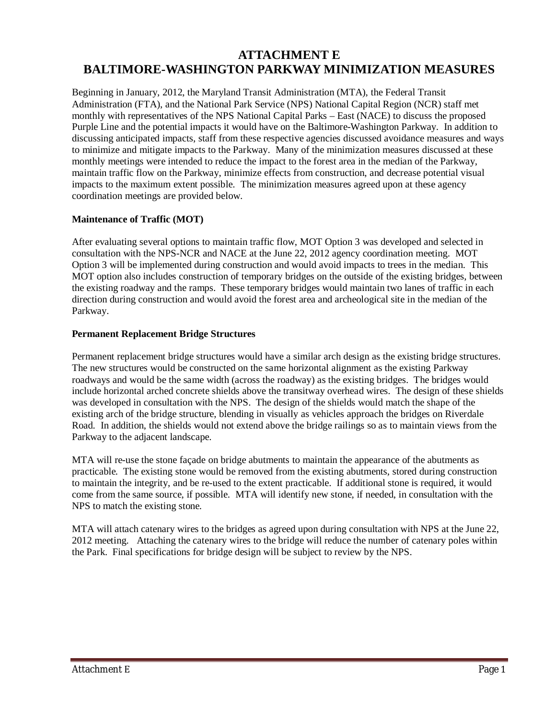# **ATTACHMENT E BALTIMORE-WASHINGTON PARKWAY MINIMIZATION MEASURES**

Beginning in January, 2012, the Maryland Transit Administration (MTA), the Federal Transit Administration (FTA), and the National Park Service (NPS) National Capital Region (NCR) staff met monthly with representatives of the NPS National Capital Parks – East (NACE) to discuss the proposed Purple Line and the potential impacts it would have on the Baltimore-Washington Parkway. In addition to discussing anticipated impacts, staff from these respective agencies discussed avoidance measures and ways to minimize and mitigate impacts to the Parkway. Many of the minimization measures discussed at these monthly meetings were intended to reduce the impact to the forest area in the median of the Parkway, maintain traffic flow on the Parkway, minimize effects from construction, and decrease potential visual impacts to the maximum extent possible. The minimization measures agreed upon at these agency coordination meetings are provided below.

# **Maintenance of Traffic (MOT)**

After evaluating several options to maintain traffic flow, MOT Option 3 was developed and selected in consultation with the NPS-NCR and NACE at the June 22, 2012 agency coordination meeting. MOT Option 3 will be implemented during construction and would avoid impacts to trees in the median. This MOT option also includes construction of temporary bridges on the outside of the existing bridges, between the existing roadway and the ramps. These temporary bridges would maintain two lanes of traffic in each direction during construction and would avoid the forest area and archeological site in the median of the Parkway.

#### **Permanent Replacement Bridge Structures**

Permanent replacement bridge structures would have a similar arch design as the existing bridge structures. The new structures would be constructed on the same horizontal alignment as the existing Parkway roadways and would be the same width (across the roadway) as the existing bridges. The bridges would include horizontal arched concrete shields above the transitway overhead wires. The design of these shields was developed in consultation with the NPS. The design of the shields would match the shape of the existing arch of the bridge structure, blending in visually as vehicles approach the bridges on Riverdale Road. In addition, the shields would not extend above the bridge railings so as to maintain views from the Parkway to the adjacent landscape.

MTA will re-use the stone façade on bridge abutments to maintain the appearance of the abutments as practicable. The existing stone would be removed from the existing abutments, stored during construction to maintain the integrity, and be re-used to the extent practicable. If additional stone is required, it would come from the same source, if possible. MTA will identify new stone, if needed, in consultation with the NPS to match the existing stone.

MTA will attach catenary wires to the bridges as agreed upon during consultation with NPS at the June 22, 2012 meeting. Attaching the catenary wires to the bridge will reduce the number of catenary poles within the Park. Final specifications for bridge design will be subject to review by the NPS.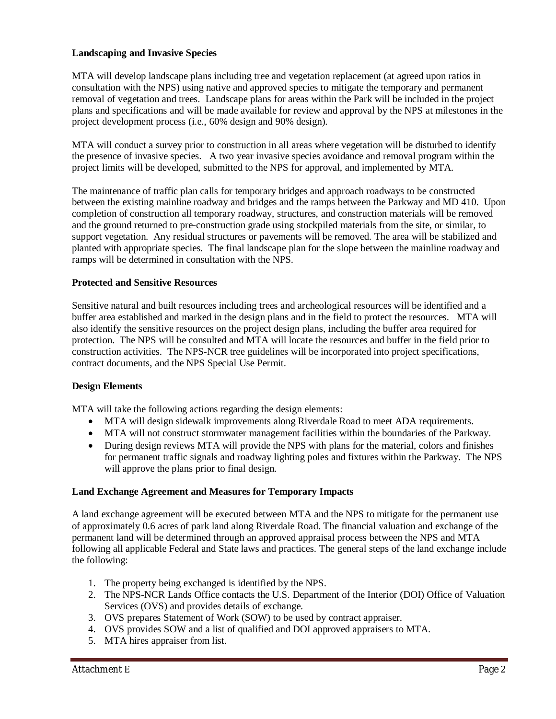# **Landscaping and Invasive Species**

MTA will develop landscape plans including tree and vegetation replacement (at agreed upon ratios in consultation with the NPS) using native and approved species to mitigate the temporary and permanent removal of vegetation and trees. Landscape plans for areas within the Park will be included in the project plans and specifications and will be made available for review and approval by the NPS at milestones in the project development process (i.e., 60% design and 90% design).

MTA will conduct a survey prior to construction in all areas where vegetation will be disturbed to identify the presence of invasive species. A two year invasive species avoidance and removal program within the project limits will be developed, submitted to the NPS for approval, and implemented by MTA.

The maintenance of traffic plan calls for temporary bridges and approach roadways to be constructed between the existing mainline roadway and bridges and the ramps between the Parkway and MD 410. Upon completion of construction all temporary roadway, structures, and construction materials will be removed and the ground returned to pre-construction grade using stockpiled materials from the site, or similar, to support vegetation. Any residual structures or pavements will be removed. The area will be stabilized and planted with appropriate species. The final landscape plan for the slope between the mainline roadway and ramps will be determined in consultation with the NPS.

# **Protected and Sensitive Resources**

Sensitive natural and built resources including trees and archeological resources will be identified and a buffer area established and marked in the design plans and in the field to protect the resources. MTA will also identify the sensitive resources on the project design plans, including the buffer area required for protection. The NPS will be consulted and MTA will locate the resources and buffer in the field prior to construction activities. The NPS-NCR tree guidelines will be incorporated into project specifications, contract documents, and the NPS Special Use Permit.

# **Design Elements**

MTA will take the following actions regarding the design elements:

- MTA will design sidewalk improvements along Riverdale Road to meet ADA requirements.
- x MTA will not construct stormwater management facilities within the boundaries of the Parkway.
- During design reviews MTA will provide the NPS with plans for the material, colors and finishes for permanent traffic signals and roadway lighting poles and fixtures within the Parkway. The NPS will approve the plans prior to final design.

# **Land Exchange Agreement and Measures for Temporary Impacts**

A land exchange agreement will be executed between MTA and the NPS to mitigate for the permanent use of approximately 0.6 acres of park land along Riverdale Road. The financial valuation and exchange of the permanent land will be determined through an approved appraisal process between the NPS and MTA following all applicable Federal and State laws and practices. The general steps of the land exchange include the following:

- 1. The property being exchanged is identified by the NPS.
- 2. The NPS-NCR Lands Office contacts the U.S. Department of the Interior (DOI) Office of Valuation Services (OVS) and provides details of exchange.
- 3. OVS prepares Statement of Work (SOW) to be used by contract appraiser.
- 4. OVS provides SOW and a list of qualified and DOI approved appraisers to MTA.
- 5. MTA hires appraiser from list.